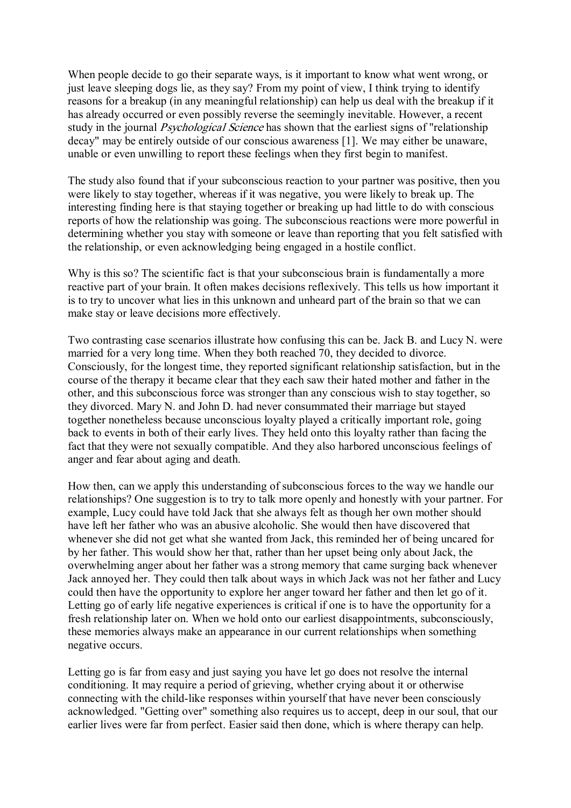When people decide to go their separate ways, is it important to know what went wrong, or just leave sleeping dogs lie, as they say? From my point of view, I think trying to identify reasons for a breakup (in any meaningful relationship) can help us deal with the breakup if it has already occurred or even possibly reverse the seemingly inevitable. However, a recent study in the journal *Psychological Science* has shown that the earliest signs of "relationship" decay" may be entirely outside of our conscious awareness [1]. We may either be unaware, unable or even unwilling to report these feelings when they first begin to manifest.

The study also found that if your subconscious reaction to your partner was positive, then you were likely to stay together, whereas if it was negative, you were likely to break up. The interesting finding here is that staying together or breaking up had little to do with conscious reports of how the relationship was going. The subconscious reactions were more powerful in determining whether you stay with someone or leave than reporting that you felt satisfied with the relationship, or even acknowledging being engaged in a hostile conflict.

Why is this so? The scientific fact is that your subconscious brain is fundamentally a more reactive part of your brain. It often makes decisions reflexively. This tells us how important it is to try to uncover what lies in this unknown and unheard part of the brain so that we can make stay or leave decisions more effectively.

Two contrasting case scenarios illustrate how confusing this can be. Jack B. and Lucy N. were married for a very long time. When they both reached 70, they decided to divorce. Consciously, for the longest time, they reported significant relationship satisfaction, but in the course of the therapy it became clear that they each saw their hated mother and father in the other, and this subconscious force was stronger than any conscious wish to stay together, so they divorced. Mary N. and John D. had never consummated their marriage but stayed together nonetheless because unconscious loyalty played a critically important role, going back to events in both of their early lives. They held onto this loyalty rather than facing the fact that they were not sexually compatible. And they also harbored unconscious feelings of anger and fear about aging and death.

How then, can we apply this understanding of subconscious forces to the way we handle our relationships? One suggestion is to try to talk more openly and honestly with your partner. For example, Lucy could have told Jack that she always felt as though her own mother should have left her father who was an abusive alcoholic. She would then have discovered that whenever she did not get what she wanted from Jack, this reminded her of being uncared for by her father. This would show her that, rather than her upset being only about Jack, the overwhelming anger about her father was a strong memory that came surging back whenever Jack annoyed her. They could then talk about ways in which Jack was not her father and Lucy could then have the opportunity to explore her anger toward her father and then let go of it. Letting go of early life negative experiences is critical if one is to have the opportunity for a fresh relationship later on. When we hold onto our earliest disappointments, subconsciously, these memories always make an appearance in our current relationships when something negative occurs.

Letting go is far from easy and just saying you have let go does not resolve the internal conditioning. It may require a period of grieving, whether crying about it or otherwise connecting with the child-like responses within yourself that have never been consciously acknowledged. "Getting over" something also requires us to accept, deep in our soul, that our earlier lives were far from perfect. Easier said then done, which is where therapy can help.